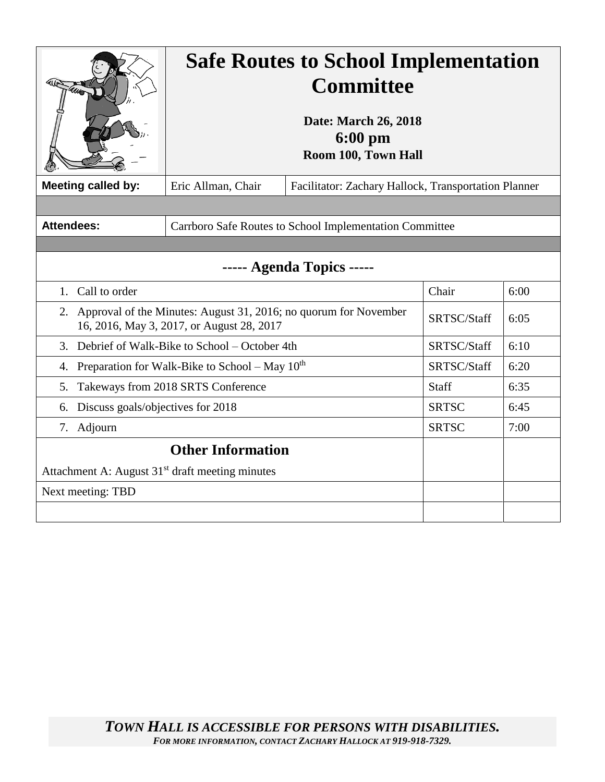|                                                                                                                  | <b>Safe Routes to School Implementation</b><br><b>Committee</b><br>Date: March 26, 2018<br>$6:00$ pm<br>Room 100, Town Hall |  |              |      |
|------------------------------------------------------------------------------------------------------------------|-----------------------------------------------------------------------------------------------------------------------------|--|--------------|------|
| <b>Meeting called by:</b>                                                                                        | Eric Allman, Chair<br>Facilitator: Zachary Hallock, Transportation Planner                                                  |  |              |      |
|                                                                                                                  |                                                                                                                             |  |              |      |
| <b>Attendees:</b>                                                                                                | Carrboro Safe Routes to School Implementation Committee                                                                     |  |              |      |
|                                                                                                                  |                                                                                                                             |  |              |      |
| -- Agenda Topics -----                                                                                           |                                                                                                                             |  |              |      |
| Call to order<br>$1_{\cdot}$                                                                                     |                                                                                                                             |  | Chair        | 6:00 |
| 2. Approval of the Minutes: August 31, 2016; no quorum for November<br>16, 2016, May 3, 2017, or August 28, 2017 |                                                                                                                             |  | SRTSC/Staff  | 6:05 |
| Debrief of Walk-Bike to School – October 4th<br>3.                                                               |                                                                                                                             |  | SRTSC/Staff  | 6:10 |
| Preparation for Walk-Bike to School – May $10^{th}$<br>4.                                                        |                                                                                                                             |  | SRTSC/Staff  | 6:20 |
| Takeways from 2018 SRTS Conference<br>5.                                                                         |                                                                                                                             |  | <b>Staff</b> | 6:35 |
| Discuss goals/objectives for 2018<br>6.                                                                          |                                                                                                                             |  | <b>SRTSC</b> | 6:45 |
| Adjourn<br>7.                                                                                                    |                                                                                                                             |  | <b>SRTSC</b> | 7:00 |
| <b>Other Information</b>                                                                                         |                                                                                                                             |  |              |      |
| Attachment A: August 31 <sup>st</sup> draft meeting minutes                                                      |                                                                                                                             |  |              |      |
| Next meeting: TBD                                                                                                |                                                                                                                             |  |              |      |
|                                                                                                                  |                                                                                                                             |  |              |      |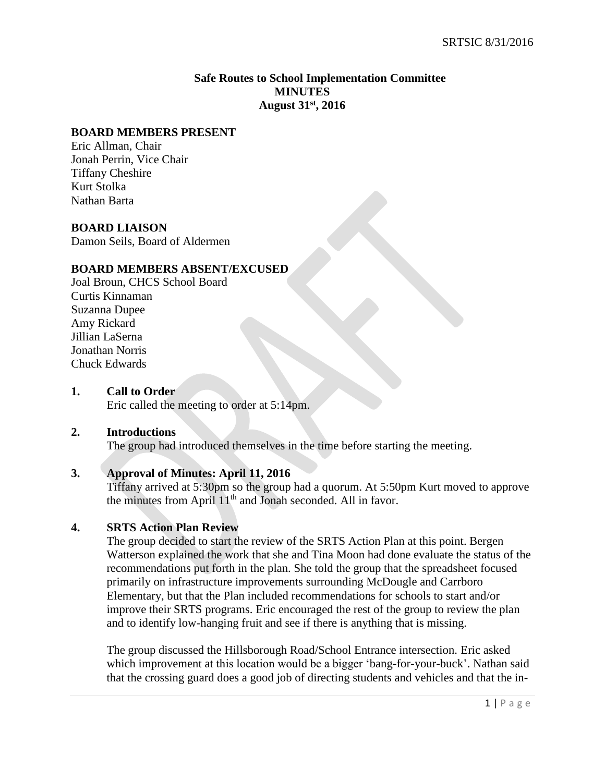# **Safe Routes to School Implementation Committee MINUTES August 31st , 2016**

#### **BOARD MEMBERS PRESENT**

Eric Allman, Chair Jonah Perrin, Vice Chair Tiffany Cheshire Kurt Stolka Nathan Barta

#### **BOARD LIAISON**

Damon Seils, Board of Aldermen

# **BOARD MEMBERS ABSENT/EXCUSED**

Joal Broun, CHCS School Board Curtis Kinnaman Suzanna Dupee Amy Rickard Jillian LaSerna Jonathan Norris Chuck Edwards

# **1. Call to Order**

Eric called the meeting to order at 5:14pm.

#### **2. Introductions**

The group had introduced themselves in the time before starting the meeting.

#### **3. Approval of Minutes: April 11, 2016**

Tiffany arrived at 5:30pm so the group had a quorum. At 5:50pm Kurt moved to approve the minutes from April 11<sup>th</sup> and Jonah seconded. All in favor.

#### **4. SRTS Action Plan Review**

The group decided to start the review of the SRTS Action Plan at this point. Bergen Watterson explained the work that she and Tina Moon had done evaluate the status of the recommendations put forth in the plan. She told the group that the spreadsheet focused primarily on infrastructure improvements surrounding McDougle and Carrboro Elementary, but that the Plan included recommendations for schools to start and/or improve their SRTS programs. Eric encouraged the rest of the group to review the plan and to identify low-hanging fruit and see if there is anything that is missing.

The group discussed the Hillsborough Road/School Entrance intersection. Eric asked which improvement at this location would be a bigger 'bang-for-your-buck'. Nathan said that the crossing guard does a good job of directing students and vehicles and that the in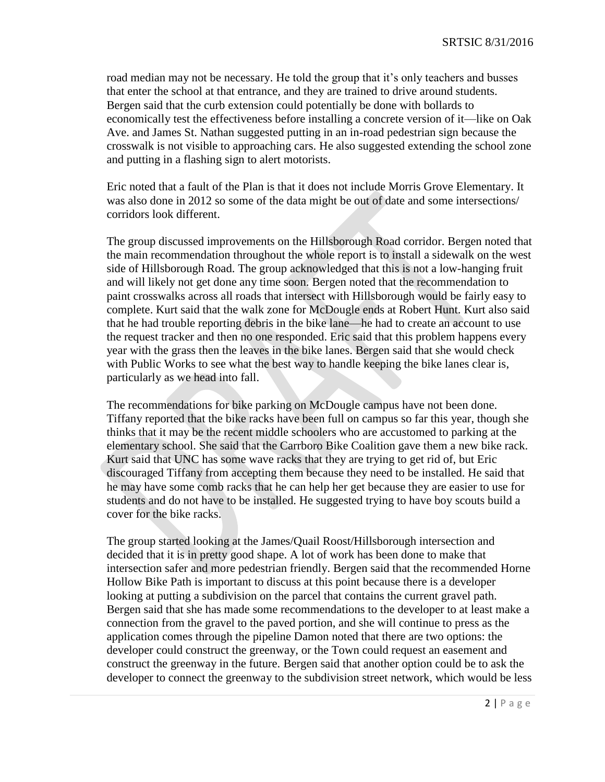road median may not be necessary. He told the group that it's only teachers and busses that enter the school at that entrance, and they are trained to drive around students. Bergen said that the curb extension could potentially be done with bollards to economically test the effectiveness before installing a concrete version of it—like on Oak Ave. and James St. Nathan suggested putting in an in-road pedestrian sign because the crosswalk is not visible to approaching cars. He also suggested extending the school zone and putting in a flashing sign to alert motorists.

Eric noted that a fault of the Plan is that it does not include Morris Grove Elementary. It was also done in 2012 so some of the data might be out of date and some intersections/ corridors look different.

The group discussed improvements on the Hillsborough Road corridor. Bergen noted that the main recommendation throughout the whole report is to install a sidewalk on the west side of Hillsborough Road. The group acknowledged that this is not a low-hanging fruit and will likely not get done any time soon. Bergen noted that the recommendation to paint crosswalks across all roads that intersect with Hillsborough would be fairly easy to complete. Kurt said that the walk zone for McDougle ends at Robert Hunt. Kurt also said that he had trouble reporting debris in the bike lane—he had to create an account to use the request tracker and then no one responded. Eric said that this problem happens every year with the grass then the leaves in the bike lanes. Bergen said that she would check with Public Works to see what the best way to handle keeping the bike lanes clear is, particularly as we head into fall.

The recommendations for bike parking on McDougle campus have not been done. Tiffany reported that the bike racks have been full on campus so far this year, though she thinks that it may be the recent middle schoolers who are accustomed to parking at the elementary school. She said that the Carrboro Bike Coalition gave them a new bike rack. Kurt said that UNC has some wave racks that they are trying to get rid of, but Eric discouraged Tiffany from accepting them because they need to be installed. He said that he may have some comb racks that he can help her get because they are easier to use for students and do not have to be installed. He suggested trying to have boy scouts build a cover for the bike racks.

The group started looking at the James/Quail Roost/Hillsborough intersection and decided that it is in pretty good shape. A lot of work has been done to make that intersection safer and more pedestrian friendly. Bergen said that the recommended Horne Hollow Bike Path is important to discuss at this point because there is a developer looking at putting a subdivision on the parcel that contains the current gravel path. Bergen said that she has made some recommendations to the developer to at least make a connection from the gravel to the paved portion, and she will continue to press as the application comes through the pipeline Damon noted that there are two options: the developer could construct the greenway, or the Town could request an easement and construct the greenway in the future. Bergen said that another option could be to ask the developer to connect the greenway to the subdivision street network, which would be less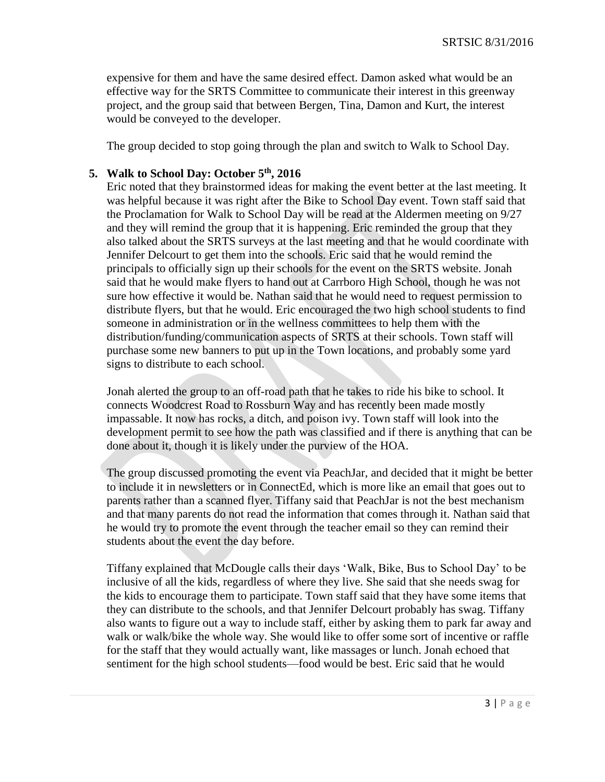expensive for them and have the same desired effect. Damon asked what would be an effective way for the SRTS Committee to communicate their interest in this greenway project, and the group said that between Bergen, Tina, Damon and Kurt, the interest would be conveyed to the developer.

The group decided to stop going through the plan and switch to Walk to School Day.

## **5. Walk to School Day: October 5th, 2016**

Eric noted that they brainstormed ideas for making the event better at the last meeting. It was helpful because it was right after the Bike to School Day event. Town staff said that the Proclamation for Walk to School Day will be read at the Aldermen meeting on 9/27 and they will remind the group that it is happening. Eric reminded the group that they also talked about the SRTS surveys at the last meeting and that he would coordinate with Jennifer Delcourt to get them into the schools. Eric said that he would remind the principals to officially sign up their schools for the event on the SRTS website. Jonah said that he would make flyers to hand out at Carrboro High School, though he was not sure how effective it would be. Nathan said that he would need to request permission to distribute flyers, but that he would. Eric encouraged the two high school students to find someone in administration or in the wellness committees to help them with the distribution/funding/communication aspects of SRTS at their schools. Town staff will purchase some new banners to put up in the Town locations, and probably some yard signs to distribute to each school.

Jonah alerted the group to an off-road path that he takes to ride his bike to school. It connects Woodcrest Road to Rossburn Way and has recently been made mostly impassable. It now has rocks, a ditch, and poison ivy. Town staff will look into the development permit to see how the path was classified and if there is anything that can be done about it, though it is likely under the purview of the HOA.

The group discussed promoting the event via PeachJar, and decided that it might be better to include it in newsletters or in ConnectEd, which is more like an email that goes out to parents rather than a scanned flyer. Tiffany said that PeachJar is not the best mechanism and that many parents do not read the information that comes through it. Nathan said that he would try to promote the event through the teacher email so they can remind their students about the event the day before.

Tiffany explained that McDougle calls their days 'Walk, Bike, Bus to School Day' to be inclusive of all the kids, regardless of where they live. She said that she needs swag for the kids to encourage them to participate. Town staff said that they have some items that they can distribute to the schools, and that Jennifer Delcourt probably has swag. Tiffany also wants to figure out a way to include staff, either by asking them to park far away and walk or walk/bike the whole way. She would like to offer some sort of incentive or raffle for the staff that they would actually want, like massages or lunch. Jonah echoed that sentiment for the high school students—food would be best. Eric said that he would